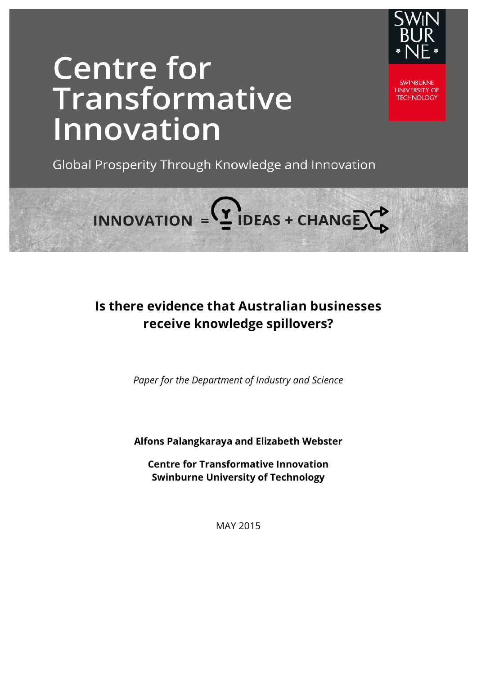

# **Centre for** Transformative Innovation

**SWINBLIRNE UNIVERSITY OF TECHNOLOGY** 

Global Prosperity Through Knowledge and Innovation

INNOVATION =  $($ <sup>2</sup> IDEAS + CHANGE $\bigcirc$ 

## **Is there evidence that Australian businesses receive knowledge spillovers?**

*Paper for the Department of Industry and Science*

**Alfons Palangkaraya and Elizabeth Webster** 

**Centre for Transformative Innovation Swinburne University of Technology** 

MAY 2015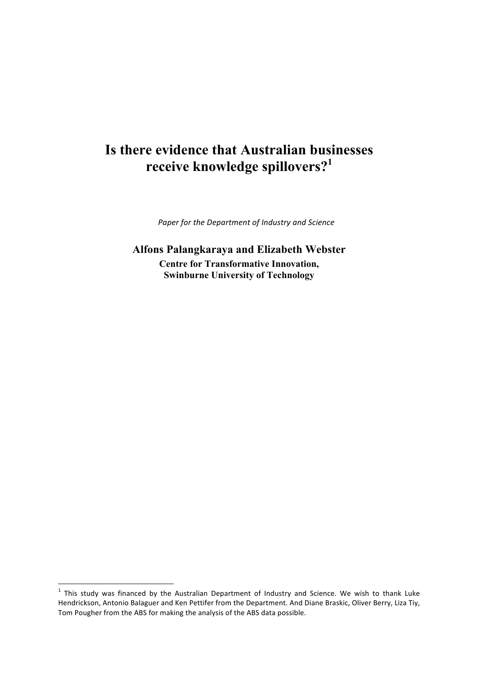# **Is there evidence that Australian businesses receive knowledge spillovers?<sup>1</sup>**

Paper for the Department of Industry and Science

**Alfons Palangkaraya and Elizabeth Webster Centre for Transformative Innovation, Swinburne University of Technology** 

 $1$  This study was financed by the Australian Department of Industry and Science. We wish to thank Luke Hendrickson, Antonio Balaguer and Ken Pettifer from the Department. And Diane Braskic, Oliver Berry, Liza Tiy, Tom Pougher from the ABS for making the analysis of the ABS data possible.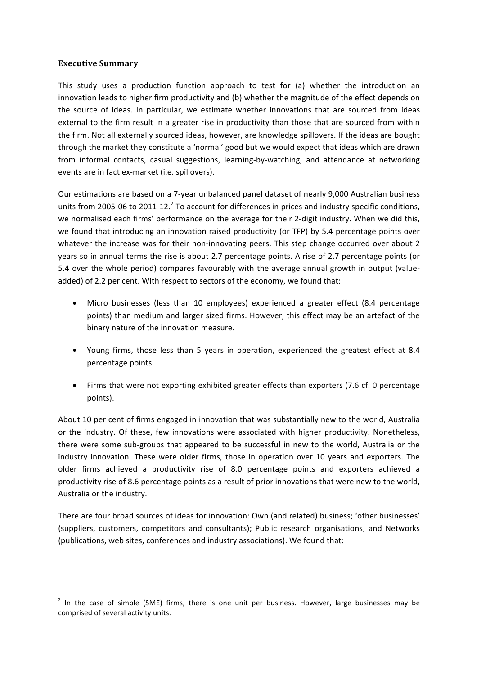#### **Executive Summary**

<u> 1989 - Johann Barn, mars ann an t-Amhain an t-Amhain an t-Amhain an t-Amhain an t-Amhain an t-Amhain an t-Amh</u>

This study uses a production function approach to test for (a) whether the introduction an innovation leads to higher firm productivity and (b) whether the magnitude of the effect depends on the source of ideas. In particular, we estimate whether innovations that are sourced from ideas external to the firm result in a greater rise in productivity than those that are sourced from within the firm. Not all externally sourced ideas, however, are knowledge spillovers. If the ideas are bought through the market they constitute a 'normal' good but we would expect that ideas which are drawn from informal contacts, casual suggestions, learning-by-watching, and attendance at networking events are in fact ex-market (i.e. spillovers).

Our estimations are based on a 7-year unbalanced panel dataset of nearly 9,000 Australian business units from 2005-06 to 2011-12.<sup>2</sup> To account for differences in prices and industry specific conditions, we normalised each firms' performance on the average for their 2-digit industry. When we did this, we found that introducing an innovation raised productivity (or TFP) by 5.4 percentage points over whatever the increase was for their non-innovating peers. This step change occurred over about 2 years so in annual terms the rise is about 2.7 percentage points. A rise of 2.7 percentage points (or 5.4 over the whole period) compares favourably with the average annual growth in output (valueadded) of 2.2 per cent. With respect to sectors of the economy, we found that:

- Micro businesses (less than 10 employees) experienced a greater effect (8.4 percentage points) than medium and larger sized firms. However, this effect may be an artefact of the binary nature of the innovation measure.
- Young firms, those less than 5 years in operation, experienced the greatest effect at 8.4 percentage points.
- Firms that were not exporting exhibited greater effects than exporters (7.6 cf. 0 percentage points).

About 10 per cent of firms engaged in innovation that was substantially new to the world, Australia or the industry. Of these, few innovations were associated with higher productivity. Nonetheless, there were some sub-groups that appeared to be successful in new to the world, Australia or the industry innovation. These were older firms, those in operation over 10 years and exporters. The older firms achieved a productivity rise of 8.0 percentage points and exporters achieved a productivity rise of 8.6 percentage points as a result of prior innovations that were new to the world, Australia or the industry.

There are four broad sources of ideas for innovation: Own (and related) business; 'other businesses' (suppliers, customers, competitors and consultants); Public research organisations; and Networks (publications, web sites, conferences and industry associations). We found that:

 $2$  In the case of simple (SME) firms, there is one unit per business. However, large businesses may be comprised of several activity units.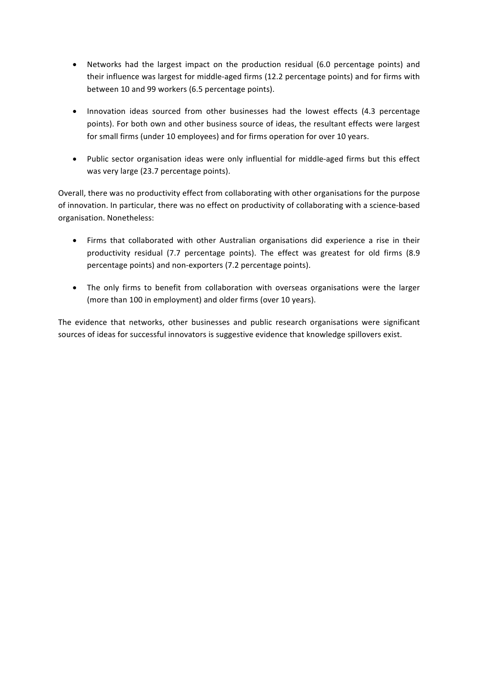- Networks had the largest impact on the production residual (6.0 percentage points) and their influence was largest for middle-aged firms (12.2 percentage points) and for firms with between 10 and 99 workers (6.5 percentage points).
- Innovation ideas sourced from other businesses had the lowest effects (4.3 percentage points). For both own and other business source of ideas, the resultant effects were largest for small firms (under 10 employees) and for firms operation for over 10 years.
- Public sector organisation ideas were only influential for middle-aged firms but this effect was very large (23.7 percentage points).

Overall, there was no productivity effect from collaborating with other organisations for the purpose of innovation. In particular, there was no effect on productivity of collaborating with a science-based organisation. Nonetheless:

- Firms that collaborated with other Australian organisations did experience a rise in their productivity residual (7.7 percentage points). The effect was greatest for old firms (8.9 percentage points) and non-exporters (7.2 percentage points).
- The only firms to benefit from collaboration with overseas organisations were the larger (more than 100 in employment) and older firms (over 10 years).

The evidence that networks, other businesses and public research organisations were significant sources of ideas for successful innovators is suggestive evidence that knowledge spillovers exist.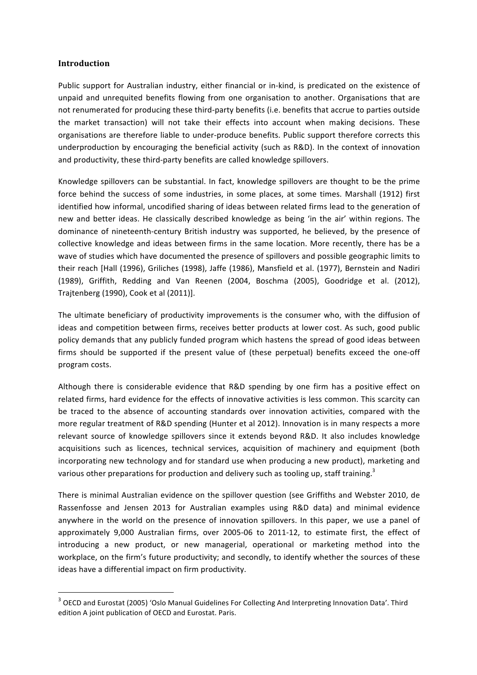#### **Introduction**

Public support for Australian industry, either financial or in-kind, is predicated on the existence of unpaid and unrequited benefits flowing from one organisation to another. Organisations that are not renumerated for producing these third-party benefits (i.e. benefits that accrue to parties outside the market transaction) will not take their effects into account when making decisions. These organisations are therefore liable to under-produce benefits. Public support therefore corrects this underproduction by encouraging the beneficial activity (such as R&D). In the context of innovation and productivity, these third-party benefits are called knowledge spillovers.

Knowledge spillovers can be substantial. In fact, knowledge spillovers are thought to be the prime force behind the success of some industries, in some places, at some times. Marshall (1912) first identified how informal, uncodified sharing of ideas between related firms lead to the generation of new and better ideas. He classically described knowledge as being 'in the air' within regions. The dominance of nineteenth-century British industry was supported, he believed, by the presence of collective knowledge and ideas between firms in the same location. More recently, there has be a wave of studies which have documented the presence of spillovers and possible geographic limits to their reach [Hall (1996), Griliches (1998), Jaffe (1986), Mansfield et al. (1977), Bernstein and Nadiri (1989), Griffith, Redding and Van Reenen (2004, Boschma (2005), Goodridge et al. (2012), Trajtenberg (1990), Cook et al (2011)].

The ultimate beneficiary of productivity improvements is the consumer who, with the diffusion of ideas and competition between firms, receives better products at lower cost. As such, good public policy demands that any publicly funded program which hastens the spread of good ideas between firms should be supported if the present value of (these perpetual) benefits exceed the one-off program costs.

Although there is considerable evidence that R&D spending by one firm has a positive effect on related firms, hard evidence for the effects of innovative activities is less common. This scarcity can be traced to the absence of accounting standards over innovation activities, compared with the more regular treatment of R&D spending (Hunter et al 2012). Innovation is in many respects a more relevant source of knowledge spillovers since it extends beyond R&D. It also includes knowledge acquisitions such as licences, technical services, acquisition of machinery and equipment (both incorporating new technology and for standard use when producing a new product), marketing and various other preparations for production and delivery such as tooling up, staff training.<sup>3</sup>

There is minimal Australian evidence on the spillover question (see Griffiths and Webster 2010, de Rassenfosse and Jensen 2013 for Australian examples using R&D data) and minimal evidence anywhere in the world on the presence of innovation spillovers. In this paper, we use a panel of approximately 9,000 Australian firms, over 2005-06 to 2011-12, to estimate first, the effect of introducing a new product, or new managerial, operational or marketing method into the workplace, on the firm's future productivity; and secondly, to identify whether the sources of these ideas have a differential impact on firm productivity.

<u> 1989 - Johann Barn, mars ann an t-Amhain an t-Amhain an t-Amhain an t-Amhain an t-Amhain an t-Amhain an t-Amh</u>

<sup>&</sup>lt;sup>3</sup> OECD and Eurostat (2005) 'Oslo Manual Guidelines For Collecting And Interpreting Innovation Data'. Third edition A joint publication of OECD and Eurostat. Paris.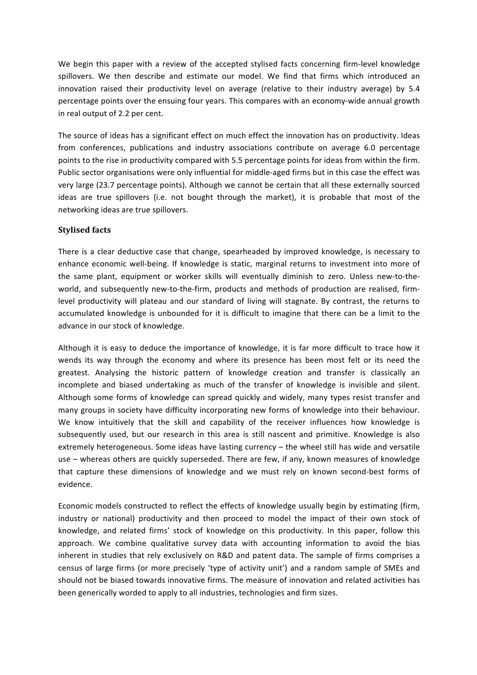We begin this paper with a review of the accepted stylised facts concerning firm-level knowledge spillovers. We then describe and estimate our model. We find that firms which introduced an innovation raised their productivity level on average (relative to their industry average) by 5.4 percentage points over the ensuing four years. This compares with an economy-wide annual growth in real output of 2.2 per cent.

The source of ideas has a significant effect on much effect the innovation has on productivity. Ideas from conferences, publications and industry associations contribute on average 6.0 percentage points to the rise in productivity compared with 5.5 percentage points for ideas from within the firm. Public sector organisations were only influential for middle-aged firms but in this case the effect was very large (23.7 percentage points). Although we cannot be certain that all these externally sourced ideas are true spillovers (i.e. not bought through the market), it is probable that most of the networking ideas are true spillovers.

#### **Stylised facts**

There is a clear deductive case that change, spearheaded by improved knowledge, is necessary to enhance economic well-being. If knowledge is static, marginal returns to investment into more of the same plant, equipment or worker skills will eventually diminish to zero. Unless new-to-theworld, and subsequently new-to-the-firm, products and methods of production are realised, firmlevel productivity will plateau and our standard of living will stagnate. By contrast, the returns to accumulated knowledge is unbounded for it is difficult to imagine that there can be a limit to the advance in our stock of knowledge.

Although it is easy to deduce the importance of knowledge, it is far more difficult to trace how it wends its way through the economy and where its presence has been most felt or its need the greatest. Analysing the historic pattern of knowledge creation and transfer is classically an incomplete and biased undertaking as much of the transfer of knowledge is invisible and silent. Although some forms of knowledge can spread quickly and widely, many types resist transfer and many groups in society have difficulty incorporating new forms of knowledge into their behaviour. We know intuitively that the skill and capability of the receiver influences how knowledge is subsequently used, but our research in this area is still nascent and primitive. Knowledge is also extremely heterogeneous. Some ideas have lasting currency – the wheel still has wide and versatile use – whereas others are quickly superseded. There are few, if any, known measures of knowledge that capture these dimensions of knowledge and we must rely on known second-best forms of evidence.

Economic models constructed to reflect the effects of knowledge usually begin by estimating (firm, industry or national) productivity and then proceed to model the impact of their own stock of knowledge, and related firms' stock of knowledge on this productivity. In this paper, follow this approach. We combine qualitative survey data with accounting information to avoid the bias inherent in studies that rely exclusively on R&D and patent data. The sample of firms comprises a census of large firms (or more precisely 'type of activity unit') and a random sample of SMEs and should not be biased towards innovative firms. The measure of innovation and related activities has been generically worded to apply to all industries, technologies and firm sizes.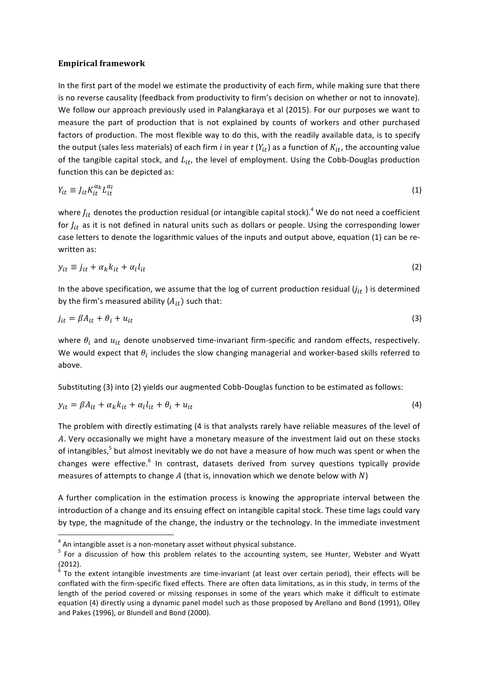#### **Empirical framework**

In the first part of the model we estimate the productivity of each firm, while making sure that there is no reverse causality (feedback from productivity to firm's decision on whether or not to innovate). We follow our approach previously used in Palangkaraya et al (2015). For our purposes we want to measure the part of production that is not explained by counts of workers and other purchased factors of production. The most flexible way to do this, with the readily available data, is to specify the output (sales less materials) of each firm *i* in year  $t(Y_{it})$  as a function of  $K_{it}$ , the accounting value of the tangible capital stock, and  $L_{it}$ , the level of employment. Using the Cobb-Douglas production function this can be depicted as:

$$
Y_{it} \equiv J_{it} K_{it}^{\alpha_k} L_{it}^{\alpha_l} \tag{1}
$$

where  $J_{it}$  denotes the production residual (or intangible capital stock).<sup>4</sup> We do not need a coefficient for  $J_{it}$  as it is not defined in natural units such as dollars or people. Using the corresponding lower case letters to denote the logarithmic values of the inputs and output above, equation (1) can be rewritten as:

$$
y_{it} \equiv j_{it} + \alpha_k k_{it} + \alpha_l l_{it} \tag{2}
$$

In the above specification, we assume that the log of current production residual  $(j_{it})$  is determined by the firm's measured ability  $(A_{it})$  such that:

$$
j_{it} = \beta A_{it} + \theta_i + u_{it} \tag{3}
$$

where  $\theta_i$  and  $u_{it}$  denote unobserved time-invariant firm-specific and random effects, respectively. We would expect that  $\theta_i$  includes the slow changing managerial and worker-based skills referred to above.

Substituting (3) into (2) yields our augmented Cobb-Douglas function to be estimated as follows:

$$
y_{it} = \beta A_{it} + \alpha_k k_{it} + \alpha_l l_{it} + \theta_i + u_{it}
$$
\n<sup>(4)</sup>

The problem with directly estimating (4 is that analysts rarely have reliable measures of the level of A. Very occasionally we might have a monetary measure of the investment laid out on these stocks of intangibles,<sup>5</sup> but almost inevitably we do not have a measure of how much was spent or when the changes were effective.<sup>6</sup> In contrast, datasets derived from survey questions typically provide measures of attempts to change A (that is, innovation which we denote below with  $N$ )

A further complication in the estimation process is knowing the appropriate interval between the introduction of a change and its ensuing effect on intangible capital stock. These time lags could vary by type, the magnitude of the change, the industry or the technology. In the immediate investment

<u> 1989 - Johann Barn, mars ann an t-Amhain an t-Amhain an t-Amhain an t-Amhain an t-Amhain an t-Amhain an t-Amh</u>

<sup>&</sup>lt;sup>4</sup> An intangible asset is a non-monetary asset without physical substance.<br><sup>5</sup> For a discussion of how this problem relates to the accounting system, see Hunter, Webster and Wyatt (2012).

To the extent intangible investments are time-invariant (at least over certain period), their effects will be conflated with the firm-specific fixed effects. There are often data limitations, as in this study, in terms of the length of the period covered or missing responses in some of the years which make it difficult to estimate equation (4) directly using a dynamic panel model such as those proposed by Arellano and Bond (1991), Olley and Pakes (1996), or Blundell and Bond (2000).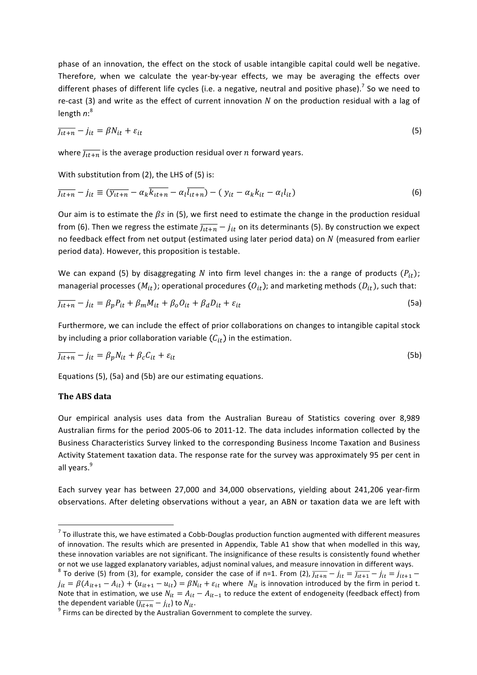phase of an innovation, the effect on the stock of usable intangible capital could well be negative. Therefore, when we calculate the year-by-year effects, we may be averaging the effects over different phases of different life cycles (i.e. a negative, neutral and positive phase).<sup>7</sup> So we need to re-cast (3) and write as the effect of current innovation  $N$  on the production residual with a lag of length *n*:<sup>8</sup>

$$
\overline{J_{tt+n}} - j_{it} = \beta N_{it} + \varepsilon_{it} \tag{5}
$$

where  $\overline{J_{tt+n}}$  is the average production residual over *n* forward years.

With substitution from (2), the LHS of (5) is:

$$
\overline{j_{tt+n}} - j_{it} \equiv (\overline{y_{tt+n}} - \alpha_k \overline{k_{tt+n}} - \alpha_l \overline{l_{tt+n}}) - (y_{it} - \alpha_k k_{it} - \alpha_l l_{it})
$$
\n(6)

Our aim is to estimate the  $\beta s$  in (5), we first need to estimate the change in the production residual from (6). Then we regress the estimate  $\overline{J_{tt+n}} - j_{it}$  on its determinants (5). By construction we expect no feedback effect from net output (estimated using later period data) on N (measured from earlier period data). However, this proposition is testable.

We can expand (5) by disaggregating N into firm level changes in: the a range of products  $(P_{it})$ ; managerial processes  $(M_{it})$ ; operational procedures  $(O_{it})$ ; and marketing methods  $(D_{it})$ , such that:

$$
\overline{J_{tt+n}} - j_{it} = \beta_p P_{it} + \beta_m M_{it} + \beta_o O_{it} + \beta_d D_{it} + \varepsilon_{it}
$$
\n(5a)

Furthermore, we can include the effect of prior collaborations on changes to intangible capital stock by including a prior collaboration variable  $(C_{it})$  in the estimation.

$$
\overline{J_{tt+n}} - j_{it} = \beta_p N_{it} + \beta_c C_{it} + \varepsilon_{it}
$$
\n(5b)

Equations  $(5)$ ,  $(5a)$  and  $(5b)$  are our estimating equations.

#### **The ABS data**

<u> 1989 - Johann Barn, mars ann an t-Amhain an t-Amhain an t-Amhain an t-Amhain an t-Amhain an t-Amhain an t-Amh</u>

Our empirical analysis uses data from the Australian Bureau of Statistics covering over 8,989 Australian firms for the period 2005-06 to 2011-12. The data includes information collected by the Business Characteristics Survey linked to the corresponding Business Income Taxation and Business Activity Statement taxation data. The response rate for the survey was approximately 95 per cent in all years.<sup>9</sup>

Each survey year has between 27,000 and 34,000 observations, yielding about 241,206 year-firm observations. After deleting observations without a year, an ABN or taxation data we are left with

 $7$  To illustrate this, we have estimated a Cobb-Douglas production function augmented with different measures of innovation. The results which are presented in Appendix, Table A1 show that when modelled in this way, these innovation variables are not significant. The insignificance of these results is consistently found whether or not we use lagged explanatory variables, adjust nominal values, and measure innovation in different ways.

<sup>&</sup>lt;sup>8</sup> To derive (5) from (3), for example, consider the case of if n=1. From (2),  $\overline{j_{tt+n}} - j_{it} = \overline{j_{tt+1}} - j_{it} = j_{it+1} - j_{it}$  $j_{it} = \beta(A_{it+1} - A_{it}) + (u_{it+1} - u_{it}) = \beta N_{it} + \varepsilon_{it}$  where  $N_{it}$  is innovation introduced by the firm in period t. Note that in estimation, we use  $N_{it} = A_{it} - A_{it-1}$  to reduce the extent of endogeneity (feedback effect) from the dependent variable  $(j_{tt+n} - j_{it})$  to  $N_{it}$ .<br><sup>9</sup> Firms can be directed by the Australian Government to complete the survey.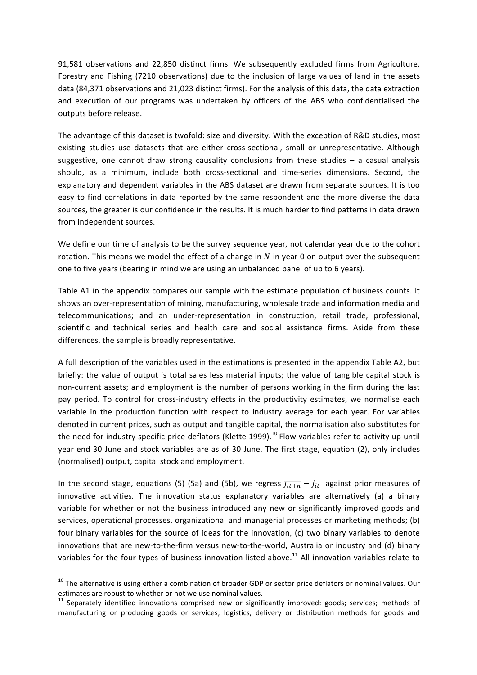91,581 observations and 22,850 distinct firms. We subsequently excluded firms from Agriculture, Forestry and Fishing (7210 observations) due to the inclusion of large values of land in the assets data (84,371 observations and 21,023 distinct firms). For the analysis of this data, the data extraction and execution of our programs was undertaken by officers of the ABS who confidentialised the outputs before release.

The advantage of this dataset is twofold: size and diversity. With the exception of R&D studies, most existing studies use datasets that are either cross-sectional, small or unrepresentative. Although suggestive, one cannot draw strong causality conclusions from these studies  $-$  a casual analysis should, as a minimum, include both cross-sectional and time-series dimensions. Second, the explanatory and dependent variables in the ABS dataset are drawn from separate sources. It is too easy to find correlations in data reported by the same respondent and the more diverse the data sources, the greater is our confidence in the results. It is much harder to find patterns in data drawn from independent sources.

We define our time of analysis to be the survey sequence year, not calendar year due to the cohort rotation. This means we model the effect of a change in  $N$  in year 0 on output over the subsequent one to five years (bearing in mind we are using an unbalanced panel of up to 6 years).

Table A1 in the appendix compares our sample with the estimate population of business counts. It shows an over-representation of mining, manufacturing, wholesale trade and information media and telecommunications; and an under-representation in construction, retail trade, professional, scientific and technical series and health care and social assistance firms. Aside from these differences, the sample is broadly representative.

A full description of the variables used in the estimations is presented in the appendix Table A2, but briefly: the value of output is total sales less material inputs; the value of tangible capital stock is non-current assets; and employment is the number of persons working in the firm during the last pay period. To control for cross-industry effects in the productivity estimates, we normalise each variable in the production function with respect to industry average for each year. For variables denoted in current prices, such as output and tangible capital, the normalisation also substitutes for the need for industry-specific price deflators (Klette 1999).<sup>10</sup> Flow variables refer to activity up until year end 30 June and stock variables are as of 30 June. The first stage, equation (2), only includes (normalised) output, capital stock and employment.

In the second stage, equations (5) (5a) and (5b), we regress  $\overline{J_{tt+n}} - j_{it}$  against prior measures of innovative activities. The innovation status explanatory variables are alternatively (a) a binary variable for whether or not the business introduced any new or significantly improved goods and services, operational processes, organizational and managerial processes or marketing methods; (b) four binary variables for the source of ideas for the innovation, (c) two binary variables to denote innovations that are new-to-the-firm versus new-to-the-world, Australia or industry and (d) binary variables for the four types of business innovation listed above. $^{11}$  All innovation variables relate to

 $10$  The alternative is using either a combination of broader GDP or sector price deflators or nominal values. Our estimates are robust to whether or not we use nominal values.

 $11$  Separately identified innovations comprised new or significantly improved: goods; services; methods of manufacturing or producing goods or services; logistics, delivery or distribution methods for goods and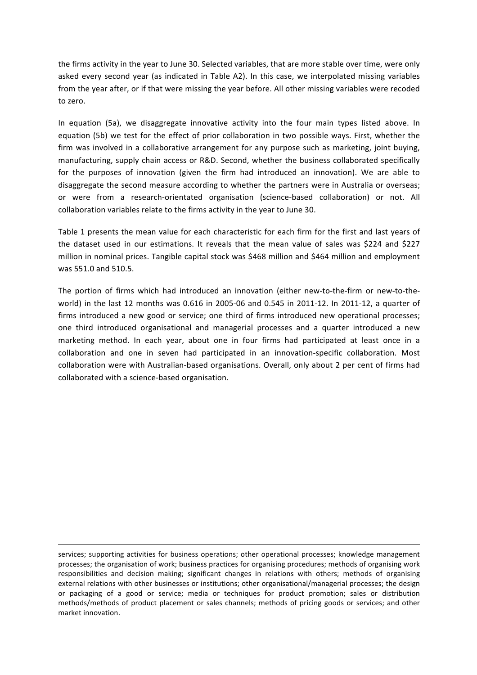the firms activity in the year to June 30. Selected variables, that are more stable over time, were only asked every second year (as indicated in Table A2). In this case, we interpolated missing variables from the year after, or if that were missing the year before. All other missing variables were recoded to zero.

In equation (5a), we disaggregate innovative activity into the four main types listed above. In equation (5b) we test for the effect of prior collaboration in two possible ways. First, whether the firm was involved in a collaborative arrangement for any purpose such as marketing, joint buying, manufacturing, supply chain access or R&D. Second, whether the business collaborated specifically for the purposes of innovation (given the firm had introduced an innovation). We are able to disaggregate the second measure according to whether the partners were in Australia or overseas; or were from a research-orientated organisation (science-based collaboration) or not. All collaboration variables relate to the firms activity in the year to June 30.

Table 1 presents the mean value for each characteristic for each firm for the first and last years of the dataset used in our estimations. It reveals that the mean value of sales was \$224 and \$227 million in nominal prices. Tangible capital stock was \$468 million and \$464 million and employment was 551.0 and 510.5.

The portion of firms which had introduced an innovation (either new-to-the-firm or new-to-theworld) in the last 12 months was 0.616 in 2005-06 and 0.545 in 2011-12. In 2011-12, a quarter of firms introduced a new good or service; one third of firms introduced new operational processes; one third introduced organisational and managerial processes and a quarter introduced a new marketing method. In each year, about one in four firms had participated at least once in a collaboration and one in seven had participated in an innovation-specific collaboration. Most collaboration were with Australian-based organisations. Overall, only about 2 per cent of firms had collaborated with a science-based organisation.

<u> 1989 - Andrea Santa Andrea Andrea Andrea Andrea Andrea Andrea Andrea Andrea Andrea Andrea Andrea Andrea Andr</u>

services; supporting activities for business operations; other operational processes; knowledge management processes; the organisation of work; business practices for organising procedures; methods of organising work responsibilities and decision making; significant changes in relations with others; methods of organising external relations with other businesses or institutions; other organisational/managerial processes; the design or packaging of a good or service; media or techniques for product promotion; sales or distribution methods/methods of product placement or sales channels; methods of pricing goods or services; and other market innovation.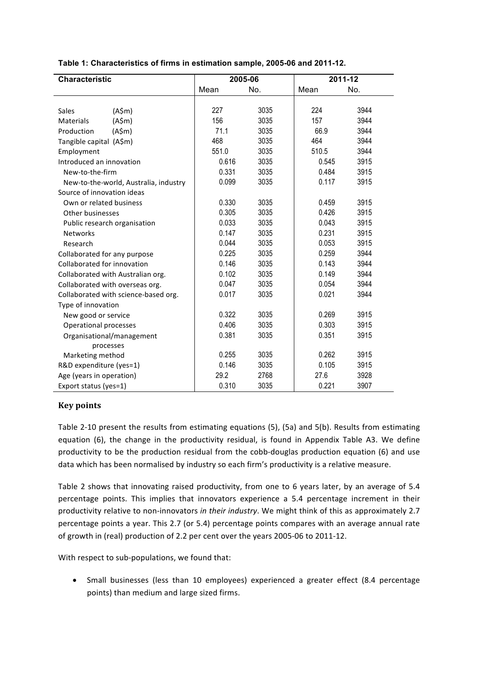| <b>Characteristic</b>                 |       | 2005-06 |       | 2011-12 |
|---------------------------------------|-------|---------|-------|---------|
|                                       | Mean  | No.     | Mean  | No.     |
|                                       |       |         |       |         |
| Sales<br>(A\$m)                       | 227   | 3035    | 224   | 3944    |
| (A\$m)<br><b>Materials</b>            | 156   | 3035    | 157   | 3944    |
| (A\$m)<br>Production                  | 71.1  | 3035    | 66.9  | 3944    |
| Tangible capital (A\$m)               | 468   | 3035    | 464   | 3944    |
| Employment                            | 551.0 | 3035    | 510.5 | 3944    |
| Introduced an innovation              | 0.616 | 3035    | 0.545 | 3915    |
| New-to-the-firm                       | 0.331 | 3035    | 0.484 | 3915    |
| New-to-the-world, Australia, industry | 0.099 | 3035    | 0.117 | 3915    |
| Source of innovation ideas            |       |         |       |         |
| Own or related business               | 0.330 | 3035    | 0.459 | 3915    |
| Other businesses                      | 0.305 | 3035    | 0.426 | 3915    |
| Public research organisation          | 0.033 | 3035    | 0.043 | 3915    |
| <b>Networks</b>                       | 0.147 | 3035    | 0.231 | 3915    |
| Research                              | 0.044 | 3035    | 0.053 | 3915    |
| Collaborated for any purpose          | 0.225 | 3035    | 0.259 | 3944    |
| Collaborated for innovation           | 0.146 | 3035    | 0.143 | 3944    |
| Collaborated with Australian org.     | 0.102 | 3035    | 0.149 | 3944    |
| Collaborated with overseas org.       | 0.047 | 3035    | 0.054 | 3944    |
| Collaborated with science-based org.  | 0.017 | 3035    | 0.021 | 3944    |
| Type of innovation                    |       |         |       |         |
| New good or service                   | 0.322 | 3035    | 0.269 | 3915    |
| <b>Operational processes</b>          | 0.406 | 3035    | 0.303 | 3915    |
| Organisational/management             | 0.381 | 3035    | 0.351 | 3915    |
| processes                             |       |         |       |         |
| Marketing method                      | 0.255 | 3035    | 0.262 | 3915    |
| R&D expenditure (yes=1)               | 0.146 | 3035    | 0.105 | 3915    |
| Age (years in operation)              | 29.2  | 2768    | 27.6  | 3928    |
| Export status (yes=1)                 | 0.310 | 3035    | 0.221 | 3907    |

#### **Table 1: Characteristics of firms in estimation sample, 2005-06 and 2011-12.**

#### **Key points**

Table 2-10 present the results from estimating equations (5), (5a) and 5(b). Results from estimating equation (6), the change in the productivity residual, is found in Appendix Table A3. We define productivity to be the production residual from the cobb-douglas production equation (6) and use data which has been normalised by industry so each firm's productivity is a relative measure.

Table 2 shows that innovating raised productivity, from one to 6 years later, by an average of 5.4 percentage points. This implies that innovators experience a 5.4 percentage increment in their productivity relative to non-innovators in their industry. We might think of this as approximately 2.7 percentage points a year. This 2.7 (or 5.4) percentage points compares with an average annual rate of growth in (real) production of 2.2 per cent over the years 2005-06 to 2011-12.

With respect to sub-populations, we found that:

• Small businesses (less than 10 employees) experienced a greater effect (8.4 percentage points) than medium and large sized firms.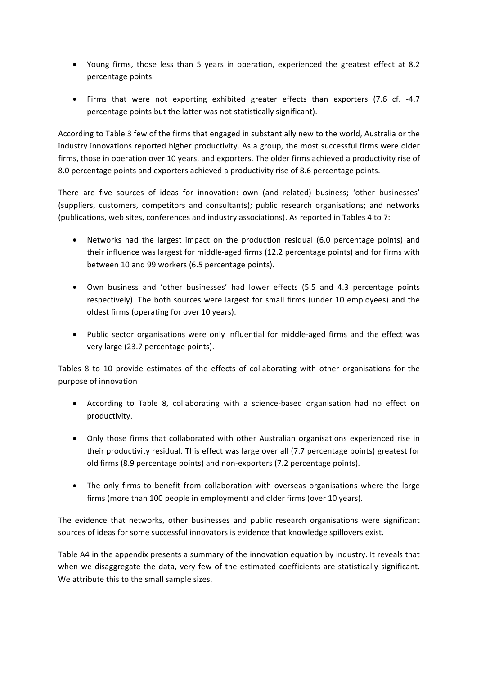- Young firms, those less than 5 years in operation, experienced the greatest effect at 8.2 percentage points.
- Firms that were not exporting exhibited greater effects than exporters (7.6 cf. -4.7 percentage points but the latter was not statistically significant).

According to Table 3 few of the firms that engaged in substantially new to the world, Australia or the industry innovations reported higher productivity. As a group, the most successful firms were older firms, those in operation over 10 years, and exporters. The older firms achieved a productivity rise of 8.0 percentage points and exporters achieved a productivity rise of 8.6 percentage points.

There are five sources of ideas for innovation: own (and related) business; 'other businesses' (suppliers, customers, competitors and consultants); public research organisations; and networks (publications, web sites, conferences and industry associations). As reported in Tables 4 to 7:

- Networks had the largest impact on the production residual (6.0 percentage points) and their influence was largest for middle-aged firms (12.2 percentage points) and for firms with between 10 and 99 workers (6.5 percentage points).
- Own business and 'other businesses' had lower effects (5.5 and 4.3 percentage points respectively). The both sources were largest for small firms (under 10 employees) and the oldest firms (operating for over 10 years).
- Public sector organisations were only influential for middle-aged firms and the effect was very large (23.7 percentage points).

Tables 8 to 10 provide estimates of the effects of collaborating with other organisations for the purpose of innovation

- According to Table 8, collaborating with a science-based organisation had no effect on productivity.
- Only those firms that collaborated with other Australian organisations experienced rise in their productivity residual. This effect was large over all (7.7 percentage points) greatest for old firms (8.9 percentage points) and non-exporters (7.2 percentage points).
- The only firms to benefit from collaboration with overseas organisations where the large firms (more than 100 people in employment) and older firms (over 10 years).

The evidence that networks, other businesses and public research organisations were significant sources of ideas for some successful innovators is evidence that knowledge spillovers exist.

Table A4 in the appendix presents a summary of the innovation equation by industry. It reveals that when we disaggregate the data, very few of the estimated coefficients are statistically significant. We attribute this to the small sample sizes.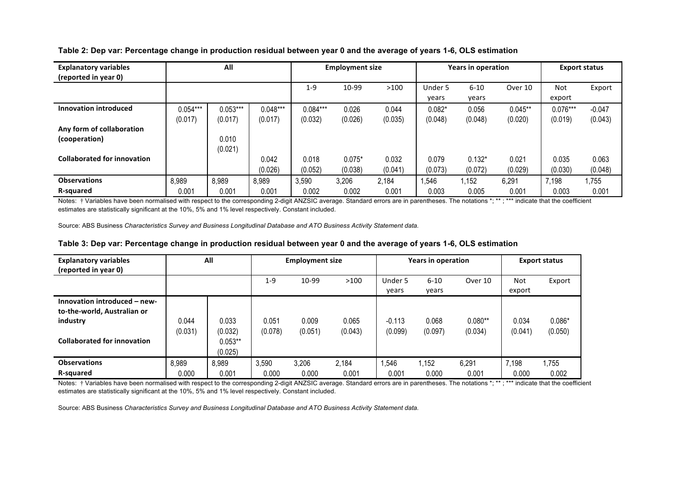| <b>Explanatory variables</b><br>(reported in year 0) | All        |            |            |            | <b>Employment size</b> |         |          | <b>Years in operation</b> | <b>Export status</b> |            |          |
|------------------------------------------------------|------------|------------|------------|------------|------------------------|---------|----------|---------------------------|----------------------|------------|----------|
|                                                      |            |            |            | $1 - 9$    | 10-99                  | >100    | Under 5  | $6 - 10$                  | Over 10              | Not        | Export   |
|                                                      |            |            |            |            |                        |         | vears    | years                     |                      | export     |          |
| Innovation introduced                                | $0.054***$ | $0.053***$ | $0.048***$ | $0.084***$ | 0.026                  | 0.044   | $0.082*$ | 0.056                     | $0.045**$            | $0.076***$ | $-0.047$ |
|                                                      | (0.017)    | (0.017)    | (0.017)    | (0.032)    | (0.026)                | (0.035) | (0.048)  | (0.048)                   | (0.020)              | (0.019)    | (0.043)  |
| Any form of collaboration                            |            |            |            |            |                        |         |          |                           |                      |            |          |
| (cooperation)                                        |            | 0.010      |            |            |                        |         |          |                           |                      |            |          |
|                                                      |            | (0.021)    |            |            |                        |         |          |                           |                      |            |          |
| <b>Collaborated for innovation</b>                   |            |            | 0.042      | 0.018      | $0.075*$               | 0.032   | 0.079    | $0.132*$                  | 0.021                | 0.035      | 0.063    |
|                                                      |            |            | (0.026)    | (0.052)    | (0.038)                | (0.041) | (0.073)  | (0.072)                   | (0.029)              | (0.030)    | (0.048)  |
| <b>Observations</b>                                  | 8,989      | 8,989      | 8,989      | 3,590      | 3,206                  | 2,184   | ,546     | 1,152                     | 6,291                | 7,198      | ,755     |
| R-squared                                            | 0.001      | 0.001      | 0.001      | 0.002      | 0.002                  | 0.001   | 0.003    | 0.005                     | 0.001                | 0.003      | 0.001    |

**Table 2: Dep var: Percentage change in production residual between year 0 and the average of years 1-6, OLS estimation**

Notes: † Variables have been normalised with respect to the corresponding 2-digit ANZSIC average. Standard errors are in parentheses. The notations \*; \*\* ; \*\*\* indicate that the coefficient estimates are statistically significant at the 10%, 5% and 1% level respectively. Constant included.

Source: ABS Business *Characteristics Survey and Business Longitudinal Database and ATO Business Activity Statement data.*

| Table 3: Dep var: Percentage change in production residual between year 0 and the average of years 1-6, OLS estimation |  |
|------------------------------------------------------------------------------------------------------------------------|--|
|------------------------------------------------------------------------------------------------------------------------|--|

| <b>Explanatory variables</b><br>(reported in year 0)                                                          |                  | All                                      |                  | <b>Employment size</b> |                  |                     | <b>Years in operation</b> | <b>Export status</b> |                  |                     |
|---------------------------------------------------------------------------------------------------------------|------------------|------------------------------------------|------------------|------------------------|------------------|---------------------|---------------------------|----------------------|------------------|---------------------|
|                                                                                                               |                  |                                          | $1 - 9$          | 10-99                  | >100             | Under 5             | $6 - 10$                  | Over 10              | Not              | Export              |
|                                                                                                               |                  |                                          |                  |                        |                  | years               | years                     |                      | export           |                     |
| Innovation introduced - new-<br>to-the-world, Australian or<br>industry<br><b>Collaborated for innovation</b> | 0.044<br>(0.031) | 0.033<br>(0.032)<br>$0.053**$<br>(0.025) | 0.051<br>(0.078) | 0.009<br>(0.051)       | 0.065<br>(0.043) | $-0.113$<br>(0.099) | 0.068<br>(0.097)          | $0.080**$<br>(0.034) | 0.034<br>(0.041) | $0.086*$<br>(0.050) |
| <b>Observations</b>                                                                                           | 8,989            | 8,989                                    | 3,590            | 3,206                  | 2,184            | ,546                | 1,152                     | 6,291                | 7,198            | 1,755               |
| R-squared                                                                                                     | 0.000            | 0.001                                    | 0.000            | 0.000                  | 0.001            | 0.001               | 0.000                     | 0.001                | 0.000            | 0.002               |

Notes: † Variables have been normalised with respect to the corresponding 2-digit ANZSIC average. Standard errors are in parentheses. The notations \*; \*\*; \*\*\* indicate that the coefficient estimates are statistically significant at the 10%, 5% and 1% level respectively. Constant included.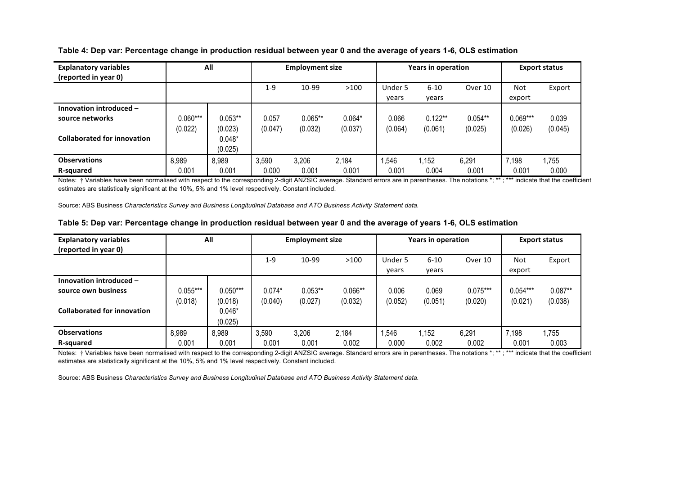| <b>Explanatory variables</b>       |            | All       |         | <b>Employment size</b> |          |         | <b>Years in operation</b> |           |            | <b>Export status</b> |  |  |
|------------------------------------|------------|-----------|---------|------------------------|----------|---------|---------------------------|-----------|------------|----------------------|--|--|
| (reported in year 0)               |            |           |         |                        |          |         |                           |           |            |                      |  |  |
|                                    |            |           | $1 - 9$ | 10-99                  | >100     | Under 5 | $6 - 10$                  | Over 10   | Not        | Export               |  |  |
|                                    |            |           |         |                        |          | years   | years                     |           | export     |                      |  |  |
| Innovation introduced -            |            |           |         |                        |          |         |                           |           |            |                      |  |  |
| source networks                    | $0.060***$ | $0.053**$ | 0.057   | $0.065**$              | $0.064*$ | 0.066   | $0.122**$                 | $0.054**$ | $0.069***$ | 0.039                |  |  |
|                                    | (0.022)    | (0.023)   | (0.047) | (0.032)                | (0.037)  | (0.064) | (0.061)                   | (0.025)   | (0.026)    | (0.045)              |  |  |
| <b>Collaborated for innovation</b> |            | $0.048*$  |         |                        |          |         |                           |           |            |                      |  |  |
|                                    |            | (0.025)   |         |                        |          |         |                           |           |            |                      |  |  |
| <b>Observations</b>                | 8,989      | 8,989     | 3,590   | 3,206                  | 2,184    | ,546    | 1,152                     | 6,291     | 7,198      | 1.755                |  |  |
| R-squared                          | 0.001      | 0.001     | 0.000   | 0.001                  | 0.001    | 0.001   | 0.004                     | 0.001     | 0.001      | 0.000                |  |  |

**Table 4: Dep var: Percentage change in production residual between year 0 and the average of years 1-6, OLS estimation**

Notes: † Variables have been normalised with respect to the corresponding 2-digit ANZSIC average. Standard errors are in parentheses. The notations \*; \*\* ; \*\*\* indicate that the coefficient estimates are statistically significant at the 10%, 5% and 1% level respectively. Constant included.

Source: ABS Business *Characteristics Survey and Business Longitudinal Database and ATO Business Activity Statement data.*

|  | Table 5: Dep var: Percentage change in production residual between year 0 and the average of years 1-6, OLS estimation |
|--|------------------------------------------------------------------------------------------------------------------------|
|  |                                                                                                                        |

| <b>Explanatory variables</b>       |            | All        |          | <b>Employment size</b> |           |         | <b>Years in operation</b> |            |            | <b>Export status</b> |  |
|------------------------------------|------------|------------|----------|------------------------|-----------|---------|---------------------------|------------|------------|----------------------|--|
| (reported in year 0)               |            |            |          |                        |           |         |                           |            |            |                      |  |
|                                    |            |            | $1 - 9$  | 10-99                  | >100      | Under 5 | $6 - 10$                  | Over 10    | Not        | Export               |  |
|                                    |            |            |          |                        |           | years   | years                     |            | export     |                      |  |
| Innovation introduced -            |            |            |          |                        |           |         |                           |            |            |                      |  |
| source own business                | $0.055***$ | $0.050***$ | $0.074*$ | $0.053**$              | $0.066**$ | 0.006   | 0.069                     | $0.075***$ | $0.054***$ | $0.087**$            |  |
|                                    | (0.018)    | (0.018)    | (0.040)  | (0.027)                | (0.032)   | (0.052) | (0.051)                   | (0.020)    | (0.021)    | (0.038)              |  |
| <b>Collaborated for innovation</b> |            | $0.046*$   |          |                        |           |         |                           |            |            |                      |  |
|                                    |            | (0.025)    |          |                        |           |         |                           |            |            |                      |  |
| <b>Observations</b>                | 8,989      | 8,989      | 3,590    | 3,206                  | 2,184     | ,546    | 1,152                     | 6,291      | 7,198      | 1,755                |  |
| R-squared                          | 0.001      | 0.001      | 0.001    | 0.001                  | 0.002     | 0.000   | 0.002                     | 0.002      | 0.001      | 0.003                |  |

Notes: † Variables have been normalised with respect to the corresponding 2-digit ANZSIC average. Standard errors are in parentheses. The notations \*; \*\* ; \*\*\* indicate that the coefficient estimates are statistically significant at the 10%, 5% and 1% level respectively. Constant included.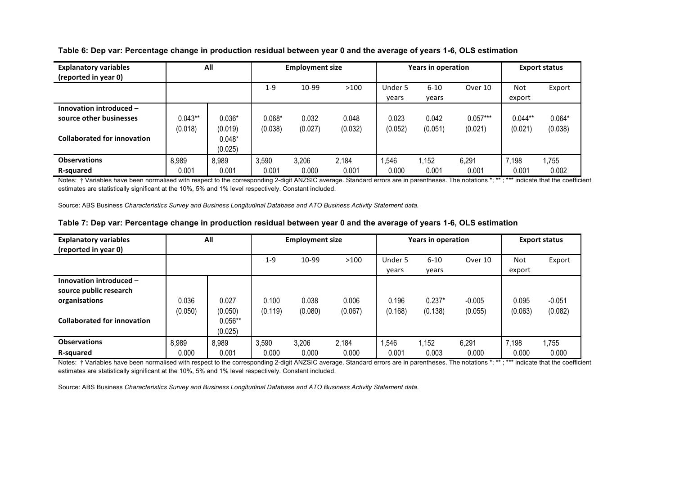| <b>Explanatory variables</b>       |           | All      |          | <b>Employment size</b> |         |         | <b>Years in operation</b> |            | <b>Export status</b> |          |  |
|------------------------------------|-----------|----------|----------|------------------------|---------|---------|---------------------------|------------|----------------------|----------|--|
| (reported in year 0)               |           |          |          |                        |         |         |                           |            |                      |          |  |
|                                    |           |          | $1 - 9$  | 10-99                  | >100    | Under 5 | $6 - 10$                  | Over 10    | Not                  | Export   |  |
|                                    |           |          |          |                        |         | years   | years                     |            | export               |          |  |
| Innovation introduced -            |           |          |          |                        |         |         |                           |            |                      |          |  |
| source other businesses            | $0.043**$ | $0.036*$ | $0.068*$ | 0.032                  | 0.048   | 0.023   | 0.042                     | $0.057***$ | $0.044**$            | $0.064*$ |  |
|                                    | (0.018)   | (0.019)  | (0.038)  | (0.027)                | (0.032) | (0.052) | (0.051)                   | (0.021)    | (0.021)              | (0.038)  |  |
| <b>Collaborated for innovation</b> |           | $0.048*$ |          |                        |         |         |                           |            |                      |          |  |
|                                    |           | (0.025)  |          |                        |         |         |                           |            |                      |          |  |
| <b>Observations</b>                | 8,989     | 8,989    | 3,590    | 3,206                  | 2,184   | ,546    | 1,152                     | 6,291      | 7,198                | 1.755    |  |
| R-squared                          | 0.001     | 0.001    | 0.001    | 0.000                  | 0.001   | 0.000   | 0.001                     | 0.001      | 0.001                | 0.002    |  |

**Table 6: Dep var: Percentage change in production residual between year 0 and the average of years 1-6, OLS estimation**

Notes: † Variables have been normalised with respect to the corresponding 2-digit ANZSIC average. Standard errors are in parentheses. The notations \*; \*\* ; \*\*\* indicate that the coefficient estimates are statistically significant at the 10%, 5% and 1% level respectively. Constant included.

Source: ABS Business *Characteristics Survey and Business Longitudinal Database and ATO Business Activity Statement data.*

| Table 7: Dep var: Percentage change in production residual between year 0 and the average of years 1-6, OLS estimation |  |
|------------------------------------------------------------------------------------------------------------------------|--|
|                                                                                                                        |  |

| <b>Explanatory variables</b>       |         | All       |         | <b>Employment size</b> |         |         | <b>Years in operation</b> |          | <b>Export status</b> |          |
|------------------------------------|---------|-----------|---------|------------------------|---------|---------|---------------------------|----------|----------------------|----------|
| (reported in year 0)               |         |           |         |                        |         |         |                           |          |                      |          |
|                                    |         |           | 1-9     | 10-99                  | >100    | Under 5 | $6 - 10$                  | Over 10  | Not                  | Export   |
|                                    |         |           |         |                        |         | years   | years                     |          | export               |          |
| Innovation introduced -            |         |           |         |                        |         |         |                           |          |                      |          |
| source public research             |         |           |         |                        |         |         |                           |          |                      |          |
| organisations                      | 0.036   | 0.027     | 0.100   | 0.038                  | 0.006   | 0.196   | $0.237*$                  | $-0.005$ | 0.095                | $-0.051$ |
|                                    | (0.050) | (0.050)   | (0.119) | (0.080)                | (0.067) | (0.168) | (0.138)                   | (0.055)  | (0.063)              | (0.082)  |
| <b>Collaborated for innovation</b> |         | $0.056**$ |         |                        |         |         |                           |          |                      |          |
|                                    |         | (0.025)   |         |                        |         |         |                           |          |                      |          |
| <b>Observations</b>                | 8,989   | 8,989     | 3,590   | 3,206                  | 2,184   | .546    | 1,152                     | 6,291    | 7,198                | 1.755    |
| R-squared                          | 0.000   | 0.001     | 0.000   | 0.000                  | 0.000   | 0.001   | 0.003                     | 0.000    | 0.000                | 0.000    |

Notes: † Variables have been normalised with respect to the corresponding 2-digit ANZSIC average. Standard errors are in parentheses. The notations \*; \*\* ; \*\*\* indicate that the coefficient estimates are statistically significant at the 10%, 5% and 1% level respectively. Constant included.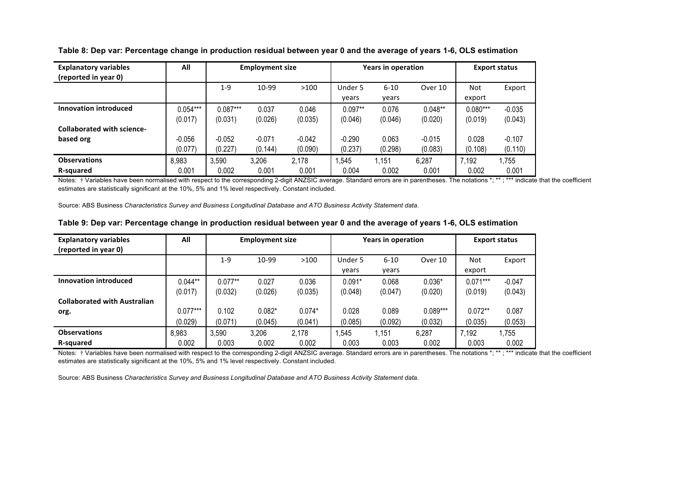| <b>Explanatory variables</b>      | All        | <b>Employment size</b> |          |          |           | <b>Years in operation</b> |           | <b>Export status</b> |          |
|-----------------------------------|------------|------------------------|----------|----------|-----------|---------------------------|-----------|----------------------|----------|
| (reported in year 0)              |            |                        |          |          |           |                           |           |                      |          |
|                                   |            | $1 - 9$                | 10-99    | >100     | Under 5   | $6 - 10$                  | Over 10   | Not                  | Export   |
|                                   |            |                        |          |          | vears     | years                     |           | export               |          |
| <b>Innovation introduced</b>      | $0.054***$ | $0.087***$             | 0.037    | 0.046    | $0.097**$ | 0.076                     | $0.048**$ | $0.080***$           | $-0.035$ |
|                                   | (0.017)    | (0.031)                | (0.026)  | (0.035)  | (0.046)   | (0.046)                   | (0.020)   | (0.019)              | (0.043)  |
| <b>Collaborated with science-</b> |            |                        |          |          |           |                           |           |                      |          |
| based org                         | $-0.056$   | $-0.052$               | $-0.071$ | $-0.042$ | $-0.290$  | 0.063                     | $-0.015$  | 0.028                | $-0.107$ |
|                                   | (0.077)    | (0.227)                | (0.144)  | (0.090)  | (0.237)   | (0.298)                   | (0.083)   | (0.108)              | (0.110)  |
| <b>Observations</b>               | 8,983      | 3,590                  | 3,206    | 2,178    | .545      | 1.151                     | 6,287     | 7,192                | 1,755    |
| R-squared                         | 0.001      | 0.002                  | 0.001    | 0.001    | 0.004     | 0.002                     | 0.001     | 0.002                | 0.001    |

**Table 8: Dep var: Percentage change in production residual between year 0 and the average of years 1-6, OLS estimation**

Notes: † Variables have been normalised with respect to the corresponding 2-digit ANZSIC average. Standard errors are in parentheses. The notations \*; \*\* ; \*\*\* indicate that the coefficient estimates are statistically significant at the 10%, 5% and 1% level respectively. Constant included.

Source: ABS Business *Characteristics Survey and Business Longitudinal Database and ATO Business Activity Statement data.*

| <b>Explanatory variables</b>        | All        | <b>Employment size</b> |          |          |          | <b>Years in operation</b> |            | <b>Export status</b> |          |  |
|-------------------------------------|------------|------------------------|----------|----------|----------|---------------------------|------------|----------------------|----------|--|
| (reported in year 0)                |            |                        |          |          |          |                           |            |                      |          |  |
|                                     |            | 1-9                    | 10-99    | >100     | Under 5  | $6 - 10$                  | Over 10    | Not                  | Export   |  |
|                                     |            |                        |          |          | vears    | years                     |            | export               |          |  |
| <b>Innovation introduced</b>        | $0.044**$  | $0.077**$              | 0.027    | 0.036    | $0.091*$ | 0.068                     | $0.036*$   | $0.071***$           | $-0.047$ |  |
|                                     | (0.017)    | (0.032)                | (0.026)  | (0.035)  | (0.048)  | (0.047)                   | (0.020)    | (0.019)              | (0.043)  |  |
| <b>Collaborated with Australian</b> |            |                        |          |          |          |                           |            |                      |          |  |
| org.                                | $0.077***$ | 0.102                  | $0.082*$ | $0.074*$ | 0.028    | 0.089                     | $0.089***$ | $0.072**$            | 0.087    |  |
|                                     | (0.029)    | (0.071)                | (0.045)  | (0.041)  | (0.085)  | (0.092)                   | (0.032)    | (0.035)              | (0.053)  |  |
| <b>Observations</b>                 | 8,983      | 3,590                  | 3,206    | 2,178    | .545     | 1,151                     | 6,287      | 7,192                | 1,755    |  |
| R-squared                           | 0.002      | 0.003                  | 0.002    | 0.002    | 0.003    | 0.003                     | 0.002      | 0.003                | 0.002    |  |

#### **Table 9: Dep var: Percentage change in production residual between year 0 and the average of years 1-6, OLS estimation**

Notes: † Variables have been normalised with respect to the corresponding 2-digit ANZSIC average. Standard errors are in parentheses. The notations \*; \*\* ; \*\*\* indicate that the coefficient estimates are statistically significant at the 10%, 5% and 1% level respectively. Constant included.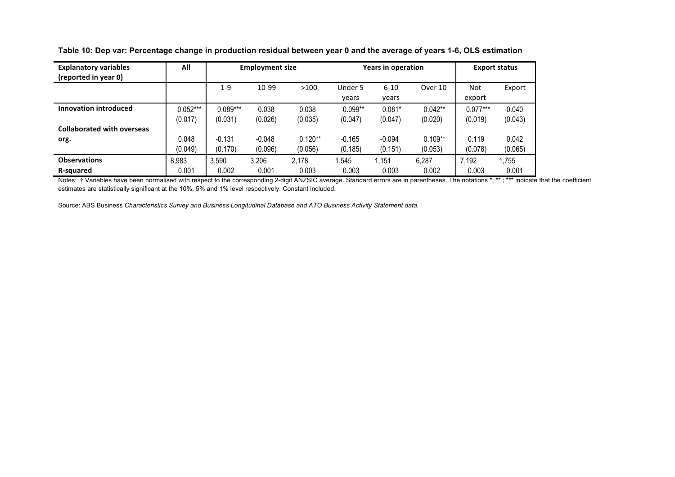| <b>Explanatory variables</b>      | All        | <b>Employment size</b> |          | <b>Years in operation</b> |           | <b>Export status</b> |           |            |          |
|-----------------------------------|------------|------------------------|----------|---------------------------|-----------|----------------------|-----------|------------|----------|
| (reported in year 0)              |            |                        |          |                           |           |                      |           |            |          |
|                                   |            | $1 - 9$                | 10-99    | >100                      | Under 5   | $6 - 10$             | Over 10   | Not        | Export   |
|                                   |            |                        |          |                           | vears     | years                |           | export     |          |
| <b>Innovation introduced</b>      | $0.052***$ | $0.089***$             | 0.038    | 0.038                     | $0.099**$ | $0.081*$             | $0.042**$ | $0.077***$ | $-0.040$ |
|                                   | (0.017)    | (0.031)                | (0.026)  | (0.035)                   | (0.047)   | (0.047)              | (0.020)   | (0.019)    | (0.043)  |
| <b>Collaborated with overseas</b> |            |                        |          |                           |           |                      |           |            |          |
| org.                              | 0.048      | $-0.131$               | $-0.048$ | $0.120**$                 | $-0.165$  | $-0.094$             | $0.109**$ | 0.119      | 0.042    |
|                                   | (0.049)    | (0.170)                | (0.096)  | (0.056)                   | (0.185)   | (0.151)              | (0.053)   | (0.078)    | (0.065)  |
| <b>Observations</b>               | 8,983      | 3,590                  | 3,206    | 2,178                     | .545      | 1,151                | 6,287     | 7,192      | 1,755    |
| R-squared                         | 0.001      | 0.002                  | 0.001    | 0.003                     | 0.003     | 0.003                | 0.002     | 0.003      | 0.001    |

**Table 10: Dep var: Percentage change in production residual between year 0 and the average of years 1-6, OLS estimation**

Notes: † Variables have been normalised with respect to the corresponding 2-digit ANZSIC average. Standard errors are in parentheses. The notations \*; \*\* ; \*\*\* indicate that the coefficient estimates are statistically significant at the 10%, 5% and 1% level respectively. Constant included.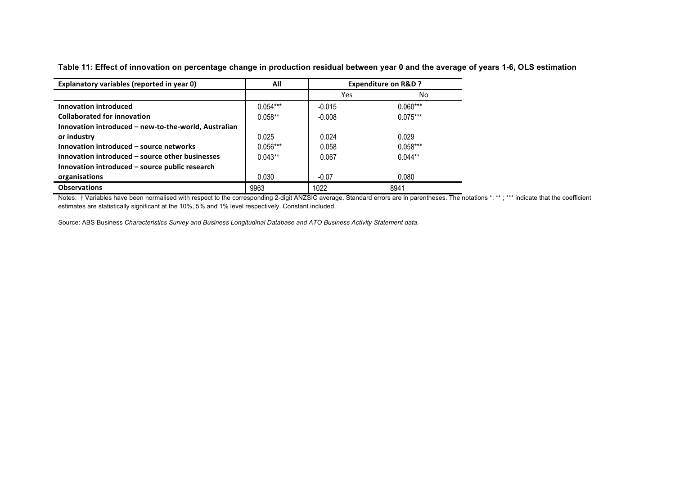| Explanatory variables (reported in year 0)           | All        | <b>Expenditure on R&amp;D ?</b> |            |
|------------------------------------------------------|------------|---------------------------------|------------|
|                                                      |            | Yes                             | No.        |
| Innovation introduced                                | $0.054***$ | $-0.015$                        | $0.060***$ |
| <b>Collaborated for innovation</b>                   | $0.058**$  | $-0.008$                        | $0.075***$ |
| Innovation introduced – new-to-the-world, Australian |            |                                 |            |
| or industry                                          | 0.025      | 0.024                           | 0.029      |
| Innovation introduced – source networks              | $0.056***$ | 0.058                           | $0.058***$ |
| Innovation introduced – source other businesses      | $0.043**$  | 0.067                           | $0.044**$  |
| Innovation introduced - source public research       |            |                                 |            |
| organisations                                        | 0.030      | $-0.07$                         | 0.080      |
| <b>Observations</b>                                  | 9963       | 1022                            | 8941       |

**Table 11: Effect of innovation on percentage change in production residual between year 0 and the average of years 1-6, OLS estimation**

Notes: † Variables have been normalised with respect to the corresponding 2-digit ANZSIC average. Standard errors are in parentheses. The notations \*; \*\*; \*\*\* indicate that the coefficient estimates are statistically significant at the 10%, 5% and 1% level respectively. Constant included.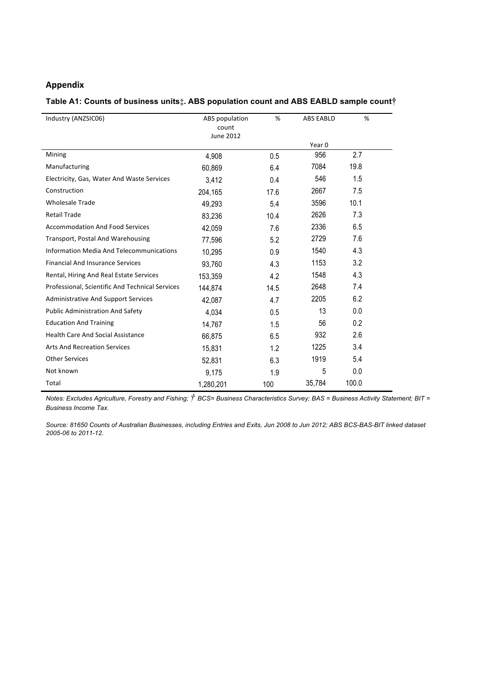### **Appendix**

#### **Table A1: Counts of business units‡. ABS population count and ABS EABLD sample count†**

| Industry (ANZSIC06)                             | ABS population<br>count | %    | <b>ABS EABLD</b> | %     |
|-------------------------------------------------|-------------------------|------|------------------|-------|
|                                                 | June 2012               |      |                  |       |
|                                                 |                         |      | Year 0           |       |
| Mining                                          | 4,908                   | 0.5  | 956              | 2.7   |
| Manufacturing                                   | 60,869                  | 6.4  | 7084             | 19.8  |
| Electricity, Gas, Water And Waste Services      | 3,412                   | 0.4  | 546              | 1.5   |
| Construction                                    | 204,165                 | 17.6 | 2667             | 7.5   |
| <b>Wholesale Trade</b>                          | 49,293                  | 5.4  | 3596             | 10.1  |
| <b>Retail Trade</b>                             | 83,236                  | 10.4 | 2626             | 7.3   |
| <b>Accommodation And Food Services</b>          | 42,059                  | 7.6  | 2336             | 6.5   |
| <b>Transport, Postal And Warehousing</b>        | 77,596                  | 5.2  | 2729             | 7.6   |
| Information Media And Telecommunications        | 10,295                  | 0.9  | 1540             | 4.3   |
| <b>Financial And Insurance Services</b>         | 93,760                  | 4.3  | 1153             | 3.2   |
| Rental, Hiring And Real Estate Services         | 153,359                 | 4.2  | 1548             | 4.3   |
| Professional, Scientific And Technical Services | 144,874                 | 14.5 | 2648             | 7.4   |
| <b>Administrative And Support Services</b>      | 42,087                  | 4.7  | 2205             | 6.2   |
| <b>Public Administration And Safety</b>         | 4,034                   | 0.5  | 13               | 0.0   |
| <b>Education And Training</b>                   | 14,767                  | 1.5  | 56               | 0.2   |
| <b>Health Care And Social Assistance</b>        | 66,875                  | 6.5  | 932              | 2.6   |
| <b>Arts And Recreation Services</b>             | 15,831                  | 1.2  | 1225             | 3.4   |
| <b>Other Services</b>                           | 52,831                  | 6.3  | 1919             | 5.4   |
| Not known                                       | 9,175                   | 1.9  | 5                | 0.0   |
| Total                                           | 1,280,201               | 100  | 35,784           | 100.0 |

*Notes: Excludes Agriculture, Forestry and Fishing; † BCS= Business Characteristics Survey; BAS = Business Activity Statement; BIT <sup>=</sup> Business Income Tax.*

*Source: 81650 Counts of Australian Businesses, including Entries and Exits, Jun 2008 to Jun 2012; ABS BCS-BAS-BIT linked dataset 2005-06 to 2011-12.*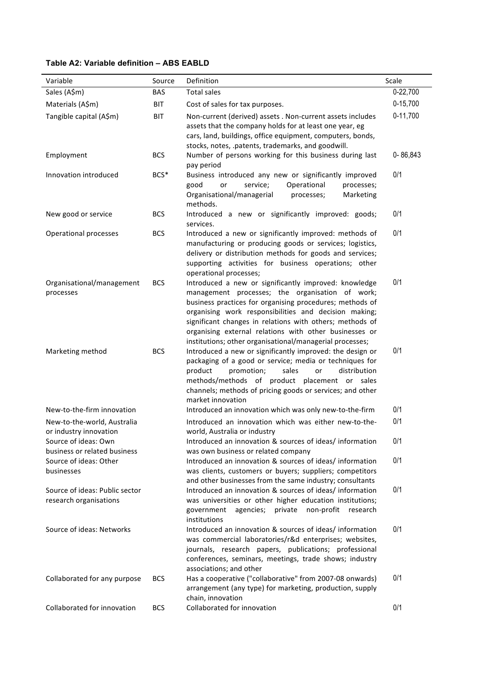## **Table A2: Variable definition – ABS EABLD**

| Variable                                                 | Source     | Definition                                                                                                                                                                                                                                                                                                                                                                                                      | Scale      |
|----------------------------------------------------------|------------|-----------------------------------------------------------------------------------------------------------------------------------------------------------------------------------------------------------------------------------------------------------------------------------------------------------------------------------------------------------------------------------------------------------------|------------|
| Sales (A\$m)                                             | <b>BAS</b> | <b>Total sales</b>                                                                                                                                                                                                                                                                                                                                                                                              | 0-22,700   |
| Materials (A\$m)                                         | <b>BIT</b> | Cost of sales for tax purposes.                                                                                                                                                                                                                                                                                                                                                                                 | $0-15,700$ |
| Tangible capital (A\$m)                                  | <b>BIT</b> | Non-current (derived) assets . Non-current assets includes<br>assets that the company holds for at least one year, eg<br>cars, land, buildings, office equipment, computers, bonds,<br>stocks, notes, .patents, trademarks, and goodwill.                                                                                                                                                                       | $0-11,700$ |
| Employment                                               | <b>BCS</b> | Number of persons working for this business during last<br>pay period                                                                                                                                                                                                                                                                                                                                           | 0-86,843   |
| Innovation introduced                                    | BCS*       | Business introduced any new or significantly improved<br>Operational<br>or<br>service;<br>good<br>processes;<br>Organisational/managerial<br>processes;<br>Marketing<br>methods.                                                                                                                                                                                                                                | 0/1        |
| New good or service                                      | <b>BCS</b> | Introduced a new or significantly improved: goods;<br>services.                                                                                                                                                                                                                                                                                                                                                 | 0/1        |
| Operational processes                                    | <b>BCS</b> | Introduced a new or significantly improved: methods of<br>manufacturing or producing goods or services; logistics,<br>delivery or distribution methods for goods and services;<br>supporting activities for business operations; other<br>operational processes;                                                                                                                                                | 0/1        |
| Organisational/management<br>processes                   | <b>BCS</b> | Introduced a new or significantly improved: knowledge<br>management processes; the organisation of work;<br>business practices for organising procedures; methods of<br>organising work responsibilities and decision making;<br>significant changes in relations with others; methods of<br>organising external relations with other businesses or<br>institutions; other organisational/managerial processes; | 0/1        |
| Marketing method                                         | <b>BCS</b> | Introduced a new or significantly improved: the design or<br>packaging of a good or service; media or techniques for<br>product<br>distribution<br>promotion;<br>sales<br>or<br>methods/methods of product placement or sales<br>channels; methods of pricing goods or services; and other<br>market innovation                                                                                                 | 0/1        |
| New-to-the-firm innovation                               |            | Introduced an innovation which was only new-to-the-firm                                                                                                                                                                                                                                                                                                                                                         | 0/1        |
| New-to-the-world, Australia<br>or industry innovation    |            | Introduced an innovation which was either new-to-the-<br>world, Australia or industry                                                                                                                                                                                                                                                                                                                           | 0/1        |
| Source of ideas: Own<br>business or related business     |            | Introduced an innovation & sources of ideas/information<br>was own business or related company                                                                                                                                                                                                                                                                                                                  | 0/1        |
| Source of ideas: Other<br>businesses                     |            | Introduced an innovation & sources of ideas/information<br>was clients, customers or buyers; suppliers; competitors<br>and other businesses from the same industry; consultants                                                                                                                                                                                                                                 | 0/1        |
| Source of ideas: Public sector<br>research organisations |            | Introduced an innovation & sources of ideas/ information<br>was universities or other higher education institutions;<br>private<br>non-profit<br>government<br>agencies;<br>research<br>institutions                                                                                                                                                                                                            | 0/1        |
| Source of ideas: Networks                                |            | Introduced an innovation & sources of ideas/information<br>was commercial laboratories/r&d enterprises; websites,<br>journals, research papers, publications; professional<br>conferences, seminars, meetings, trade shows; industry<br>associations; and other                                                                                                                                                 | 0/1        |
| Collaborated for any purpose                             | <b>BCS</b> | Has a cooperative ("collaborative" from 2007-08 onwards)<br>arrangement (any type) for marketing, production, supply<br>chain, innovation                                                                                                                                                                                                                                                                       | 0/1        |
| Collaborated for innovation                              | <b>BCS</b> | Collaborated for innovation                                                                                                                                                                                                                                                                                                                                                                                     | 0/1        |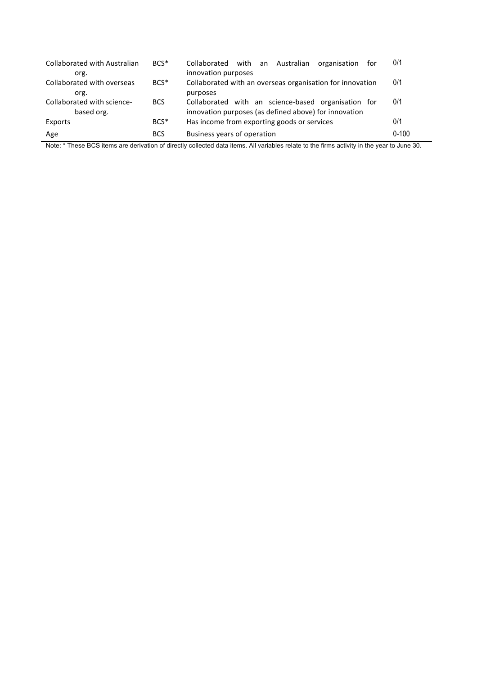| <b>Collaborated with Australian</b><br>org. | $BCS^*$          | Collaborated with an Australian<br>organisation<br>for<br>innovation purposes                                | 0/1       |
|---------------------------------------------|------------------|--------------------------------------------------------------------------------------------------------------|-----------|
| Collaborated with overseas<br>org.          | $BCS^*$          | Collaborated with an overseas organisation for innovation<br>purposes                                        | 0/1       |
| Collaborated with science-<br>based org.    | <b>BCS</b>       | Collaborated with an science-based organisation for<br>innovation purposes (as defined above) for innovation | 0/1       |
| Exports                                     | BCS <sup>*</sup> | Has income from exporting goods or services                                                                  | 0/1       |
| Age                                         | <b>BCS</b>       | Business years of operation                                                                                  | $0 - 100$ |

Note: \* These BCS items are derivation of directly collected data items. All variables relate to the firms activity in the year to June 30.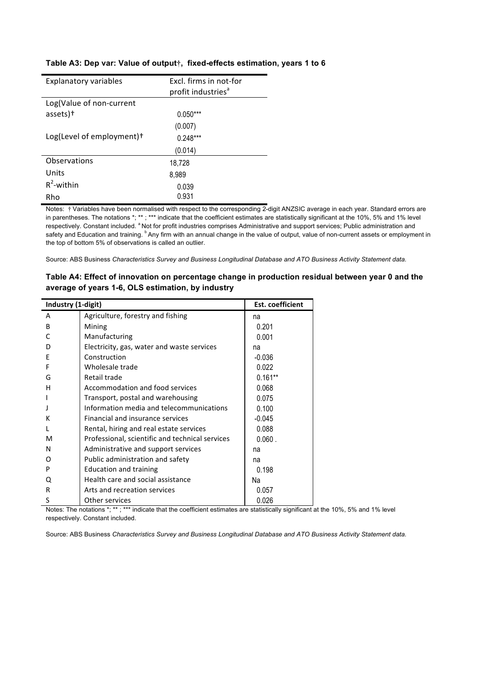| <b>Explanatory variables</b>          | Excl. firms in not-for<br>profit industries <sup>a</sup> |
|---------------------------------------|----------------------------------------------------------|
| Log(Value of non-current              |                                                          |
|                                       |                                                          |
| assets) <sup>+</sup>                  | $0.050***$                                               |
|                                       | (0.007)                                                  |
| Log(Level of employment) <sup>+</sup> | $0.248***$                                               |
|                                       | (0.014)                                                  |
| Observations                          | 18,728                                                   |
| Units                                 | 8,989                                                    |
| $R^2$ -within                         | 0.039                                                    |
| Rho                                   | 0.931                                                    |

#### **Table A3: Dep var: Value of output†, fixed-effects estimation, years 1 to 6**

Notes:  $\dagger$  Variables have been normalised with respect to the corresponding 2-digit ANZSIC average in each year. Standard errors are in parentheses. The notations \*; \*\*; \*\*\* indicate that the coefficient estimates are statistically significant at the 10%, 5% and 1% level respectively. Constant included. <sup>a</sup> Not for profit industries comprises Administrative and support services; Public administration and safety and Education and training. <sup>b</sup> Any firm with an annual change in the value of output, value of non-current assets or employment in the top of bottom 5% of observations is called an outlier.

Source: ABS Business *Characteristics Survey and Business Longitudinal Database and ATO Business Activity Statement data.*

#### **Table A4: Effect of innovation on percentage change in production residual between year 0 and the average of years 1-6, OLS estimation, by industry**

| Industry (1-digit) |                                                 | <b>Est. coefficient</b> |
|--------------------|-------------------------------------------------|-------------------------|
| A                  | Agriculture, forestry and fishing               | na                      |
| B                  | Mining                                          | 0.201                   |
| C                  | Manufacturing                                   | 0.001                   |
| D                  | Electricity, gas, water and waste services      | na                      |
| E                  | Construction                                    | $-0.036$                |
| F                  | Wholesale trade                                 | 0.022                   |
| G                  | Retail trade                                    | $0.161**$               |
| н                  | Accommodation and food services                 | 0.068                   |
|                    | Transport, postal and warehousing               | 0.075                   |
|                    | Information media and telecommunications        | 0.100                   |
| к                  | Financial and insurance services                | $-0.045$                |
|                    | Rental, hiring and real estate services         | 0.088                   |
| м                  | Professional, scientific and technical services | $0.060$ .               |
| N                  | Administrative and support services             | na                      |
| Ω                  | Public administration and safety                | na                      |
| P                  | <b>Education and training</b>                   | 0.198                   |
| Q                  | Health care and social assistance               | Na                      |
| R                  | Arts and recreation services                    | 0.057                   |
| S                  | Other services                                  | 0.026                   |

Notes: The notations \*; \*\*; \*\*\* indicate that the coefficient estimates are statistically significant at the 10%, 5% and 1% level respectively. Constant included.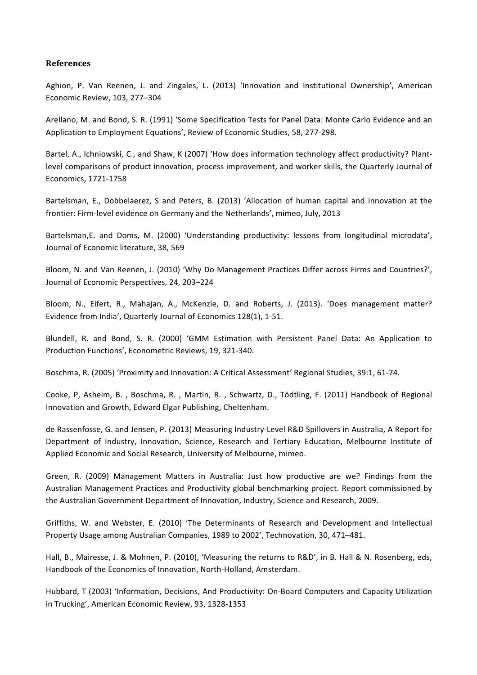#### **References**

Aghion, P. Van Reenen, J. and Zingales, L. (2013) 'Innovation and Institutional Ownership', American Economic Review, 103, 277–304

Arellano, M. and Bond, S. R. (1991) 'Some Specification Tests for Panel Data: Monte Carlo Evidence and an Application to Employment Equations', Review of Economic Studies, 58, 277-298.

Bartel, A., Ichniowski, C., and Shaw, K (2007) 'How does information technology affect productivity? Plantlevel comparisons of product innovation, process improvement, and worker skills, the Quarterly Journal of Economics, 1721-1758

Bartelsman, E., Dobbelaerez, S and Peters, B. (2013) 'Allocation of human capital and innovation at the frontier: Firm-level evidence on Germany and the Netherlands', mimeo, July, 2013

Bartelsman, E. and Doms, M. (2000) 'Understanding productivity: lessons from longitudinal microdata', Journal of Economic literature, 38, 569

Bloom, N. and Van Reenen, J. (2010) 'Why Do Management Practices Differ across Firms and Countries?', Journal of Economic Perspectives, 24, 203-224

Bloom, N., Eifert, R., Mahajan, A., McKenzie, D. and Roberts, J. (2013). 'Does management matter? Evidence from India', Quarterly Journal of Economics 128(1), 1-51.

Blundell, R. and Bond, S. R. (2000) 'GMM Estimation with Persistent Panel Data: An Application to Production Functions', Econometric Reviews, 19, 321-340.

Boschma, R. (2005) 'Proximity and Innovation: A Critical Assessment' Regional Studies, 39:1, 61-74.

Cooke, P, Asheim, B., Boschma, R., Martin, R., Schwartz, D., Tödtling, F. (2011) Handbook of Regional Innovation and Growth, Edward Elgar Publishing, Cheltenham.

de Rassenfosse, G. and Jensen, P. (2013) Measuring Industry-Level R&D Spillovers in Australia, A Report for Department of Industry, Innovation, Science, Research and Tertiary Education, Melbourne Institute of Applied Economic and Social Research, University of Melbourne, mimeo.

Green, R. (2009) Management Matters in Australia: Just how productive are we? Findings from the Australian Management Practices and Productivity global benchmarking project. Report commissioned by the Australian Government Department of Innovation, Industry, Science and Research, 2009.

Griffiths, W. and Webster, E. (2010) 'The Determinants of Research and Development and Intellectual Property Usage among Australian Companies, 1989 to 2002', Technovation, 30, 471-481.

Hall, B., Mairesse, J. & Mohnen, P. (2010), 'Measuring the returns to R&D', in B. Hall & N. Rosenberg, eds, Handbook of the Economics of Innovation, North-Holland, Amsterdam.

Hubbard, T (2003) 'Information, Decisions, And Productivity: On-Board Computers and Capacity Utilization in Trucking', American Economic Review, 93, 1328-1353